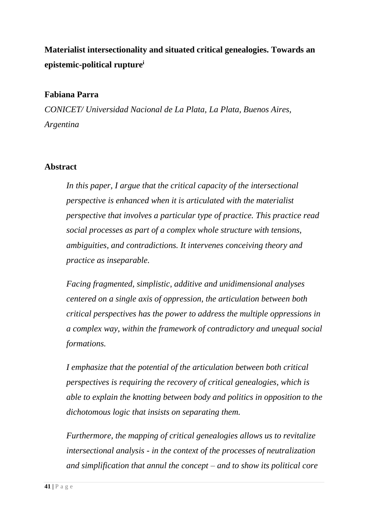**Materialist intersectionality and situated critical genealogies. Towards an epistemic-political rupture<sup>i</sup>**

## **Fabiana Parra**

*CONICET/ Universidad Nacional de La Plata, La Plata, Buenos Aires, Argentina*

#### **Abstract**

*In this paper, I argue that the critical capacity of the intersectional perspective is enhanced when it is articulated with the materialist perspective that involves a particular type of practice. This practice read social processes as part of a complex whole structure with tensions, ambiguities, and contradictions. It intervenes conceiving theory and practice as inseparable.* 

*Facing fragmented, simplistic, additive and unidimensional analyses centered on a single axis of oppression, the articulation between both critical perspectives has the power to address the multiple oppressions in a complex way, within the framework of contradictory and unequal social formations.*

*I emphasize that the potential of the articulation between both critical perspectives is requiring the recovery of critical genealogies, which is able to explain the knotting between body and politics in opposition to the dichotomous logic that insists on separating them.*

*Furthermore, the mapping of critical genealogies allows us to revitalize intersectional analysis - in the context of the processes of neutralization and simplification that annul the concept – and to show its political core*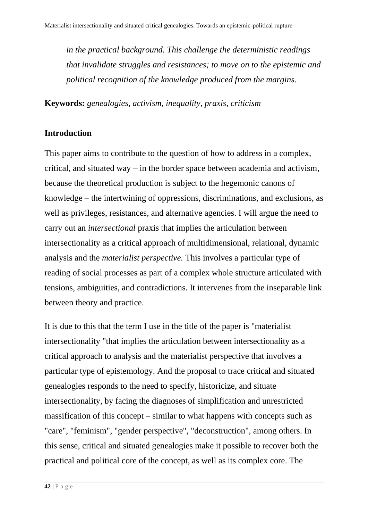*in the practical background. This challenge the deterministic readings that invalidate struggles and resistances; to move on to the epistemic and political recognition of the knowledge produced from the margins.*

**Keywords:** *genealogies, activism, inequality, praxis, criticism*

# **Introduction**

This paper aims to contribute to the question of how to address in a complex, critical, and situated way – in the border space between academia and activism, because the theoretical production is subject to the hegemonic canons of knowledge – the intertwining of oppressions, discriminations, and exclusions, as well as privileges, resistances, and alternative agencies. I will argue the need to carry out an *intersectional* praxis that implies the articulation between intersectionality as a critical approach of multidimensional, relational, dynamic analysis and the *materialist perspective.* This involves a particular type of reading of social processes as part of a complex whole structure articulated with tensions, ambiguities, and contradictions. It intervenes from the inseparable link between theory and practice.

It is due to this that the term I use in the title of the paper is "materialist intersectionality "that implies the articulation between intersectionality as a critical approach to analysis and the materialist perspective that involves a particular type of epistemology. And the proposal to trace critical and situated genealogies responds to the need to specify, historicize, and situate intersectionality, by facing the diagnoses of simplification and unrestricted massification of this concept – similar to what happens with concepts such as "care", "feminism", "gender perspective", "deconstruction", among others. In this sense, critical and situated genealogies make it possible to recover both the practical and political core of the concept, as well as its complex core. The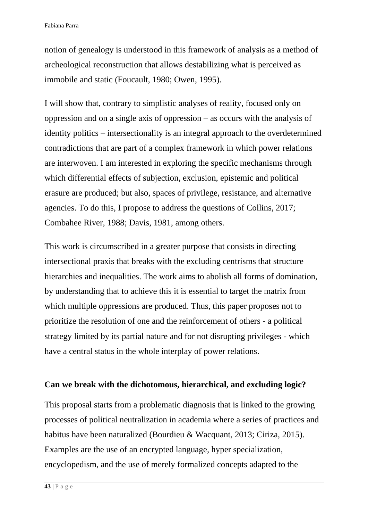notion of genealogy is understood in this framework of analysis as a method of archeological reconstruction that allows destabilizing what is perceived as immobile and static (Foucault, 1980; Owen, 1995).

I will show that, contrary to simplistic analyses of reality, focused only on oppression and on a single axis of oppression – as occurs with the analysis of identity politics – intersectionality is an integral approach to the overdetermined contradictions that are part of a complex framework in which power relations are interwoven. I am interested in exploring the specific mechanisms through which differential effects of subjection, exclusion, epistemic and political erasure are produced; but also, spaces of privilege, resistance, and alternative agencies. To do this, I propose to address the questions of Collins, 2017; Combahee River, 1988; Davis, 1981, among others.

This work is circumscribed in a greater purpose that consists in directing intersectional praxis that breaks with the excluding centrisms that structure hierarchies and inequalities. The work aims to abolish all forms of domination, by understanding that to achieve this it is essential to target the matrix from which multiple oppressions are produced. Thus, this paper proposes not to prioritize the resolution of one and the reinforcement of others - a political strategy limited by its partial nature and for not disrupting privileges - which have a central status in the whole interplay of power relations.

# **Can we break with the dichotomous, hierarchical, and excluding logic?**

This proposal starts from a problematic diagnosis that is linked to the growing processes of political neutralization in academia where a series of practices and habitus have been naturalized (Bourdieu & Wacquant, 2013; Ciriza, 2015). Examples are the use of an encrypted language, hyper specialization, encyclopedism, and the use of merely formalized concepts adapted to the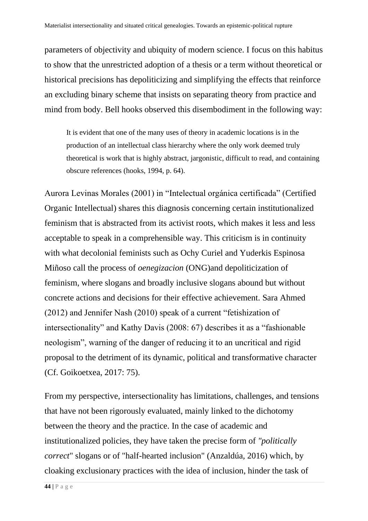parameters of objectivity and ubiquity of modern science. I focus on this habitus to show that the unrestricted adoption of a thesis or a term without theoretical or historical precisions has depoliticizing and simplifying the effects that reinforce an excluding binary scheme that insists on separating theory from practice and mind from body. Bell hooks observed this disembodiment in the following way:

It is evident that one of the many uses of theory in academic locations is in the production of an intellectual class hierarchy where the only work deemed truly theoretical is work that is highly abstract, jargonistic, difficult to read, and containing obscure references (hooks, 1994, p. 64).

Aurora Levinas Morales (2001) in "Intelectual orgánica certificada" (Certified Organic Intellectual) shares this diagnosis concerning certain institutionalized feminism that is abstracted from its activist roots, which makes it less and less acceptable to speak in a comprehensible way. This criticism is in continuity with what decolonial feminists such as Ochy Curiel and Yuderkis Espinosa Miñoso call the process of *oenegizacion* (ONG)and depoliticization of feminism, where slogans and broadly inclusive slogans abound but without concrete actions and decisions for their effective achievement. Sara Ahmed (2012) and Jennifer Nash (2010) speak of a current "fetishization of intersectionality" and Kathy Davis (2008: 67) describes it as a "fashionable neologism", warning of the danger of reducing it to an uncritical and rigid proposal to the detriment of its dynamic, political and transformative character (Cf. Goikoetxea, 2017: 75).

From my perspective, intersectionality has limitations, challenges, and tensions that have not been rigorously evaluated, mainly linked to the dichotomy between the theory and the practice. In the case of academic and institutionalized policies, they have taken the precise form of *"politically correct*" slogans or of "half-hearted inclusion" (Anzaldúa, 2016) which, by cloaking exclusionary practices with the idea of inclusion, hinder the task of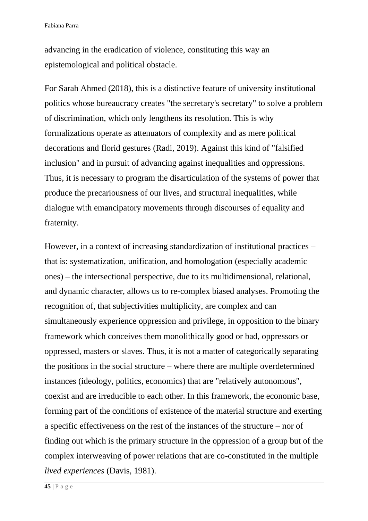advancing in the eradication of violence, constituting this way an epistemological and political obstacle.

For Sarah Ahmed (2018), this is a distinctive feature of university institutional politics whose bureaucracy creates "the secretary's secretary" to solve a problem of discrimination, which only lengthens its resolution. This is why formalizations operate as attenuators of complexity and as mere political decorations and florid gestures (Radi, 2019). Against this kind of "falsified inclusion" and in pursuit of advancing against inequalities and oppressions. Thus, it is necessary to program the disarticulation of the systems of power that produce the precariousness of our lives, and structural inequalities, while dialogue with emancipatory movements through discourses of equality and fraternity.

However, in a context of increasing standardization of institutional practices – that is: systematization, unification, and homologation (especially academic ones) – the intersectional perspective, due to its multidimensional, relational, and dynamic character, allows us to re-complex biased analyses. Promoting the recognition of, that subjectivities multiplicity, are complex and can simultaneously experience oppression and privilege, in opposition to the binary framework which conceives them monolithically good or bad, oppressors or oppressed, masters or slaves. Thus, it is not a matter of categorically separating the positions in the social structure – where there are multiple overdetermined instances (ideology, politics, economics) that are "relatively autonomous", coexist and are irreducible to each other. In this framework, the economic base, forming part of the conditions of existence of the material structure and exerting a specific effectiveness on the rest of the instances of the structure – nor of finding out which is the primary structure in the oppression of a group but of the complex interweaving of power relations that are co-constituted in the multiple *lived experiences* (Davis, 1981).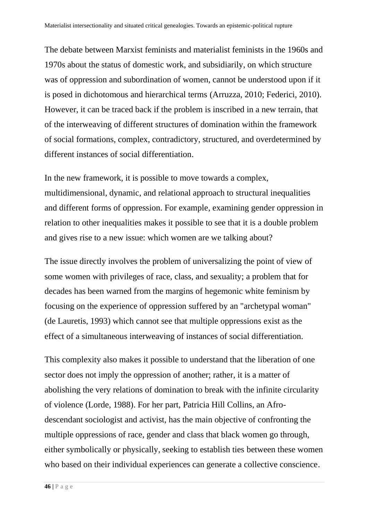The debate between Marxist feminists and materialist feminists in the 1960s and 1970s about the status of domestic work, and subsidiarily, on which structure was of oppression and subordination of women, cannot be understood upon if it is posed in dichotomous and hierarchical terms (Arruzza, 2010; Federici, 2010). However, it can be traced back if the problem is inscribed in a new terrain, that of the interweaving of different structures of domination within the framework of social formations, complex, contradictory, structured, and overdetermined by different instances of social differentiation.

In the new framework, it is possible to move towards a complex, multidimensional, dynamic, and relational approach to structural inequalities and different forms of oppression. For example, examining gender oppression in relation to other inequalities makes it possible to see that it is a double problem and gives rise to a new issue: which women are we talking about?

The issue directly involves the problem of universalizing the point of view of some women with privileges of race, class, and sexuality; a problem that for decades has been warned from the margins of hegemonic white feminism by focusing on the experience of oppression suffered by an "archetypal woman" (de Lauretis, 1993) which cannot see that multiple oppressions exist as the effect of a simultaneous interweaving of instances of social differentiation.

This complexity also makes it possible to understand that the liberation of one sector does not imply the oppression of another; rather, it is a matter of abolishing the very relations of domination to break with the infinite circularity of violence (Lorde, 1988). For her part, Patricia Hill Collins, an Afrodescendant sociologist and activist, has the main objective of confronting the multiple oppressions of race, gender and class that black women go through, either symbolically or physically, seeking to establish ties between these women who based on their individual experiences can generate a collective conscience.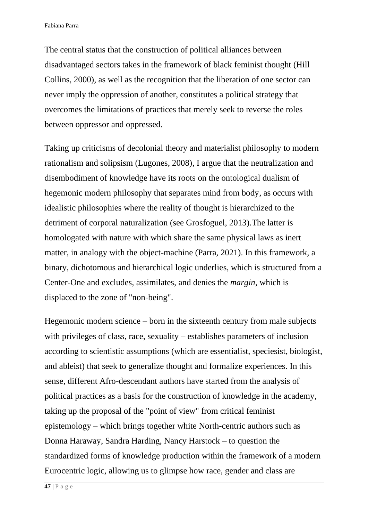The central status that the construction of political alliances between disadvantaged sectors takes in the framework of black feminist thought (Hill Collins, 2000), as well as the recognition that the liberation of one sector can never imply the oppression of another, constitutes a political strategy that overcomes the limitations of practices that merely seek to reverse the roles between oppressor and oppressed.

Taking up criticisms of decolonial theory and materialist philosophy to modern rationalism and solipsism (Lugones, 2008), I argue that the neutralization and disembodiment of knowledge have its roots on the ontological dualism of hegemonic modern philosophy that separates mind from body, as occurs with idealistic philosophies where the reality of thought is hierarchized to the detriment of corporal naturalization (see Grosfoguel, 2013).The latter is homologated with nature with which share the same physical laws as inert matter, in analogy with the object-machine (Parra, 2021). In this framework, a binary, dichotomous and hierarchical logic underlies, which is structured from a Center-One and excludes, assimilates, and denies the *margin*, which is displaced to the zone of "non-being".

Hegemonic modern science – born in the sixteenth century from male subjects with privileges of class, race, sexuality – establishes parameters of inclusion according to scientistic assumptions (which are essentialist, speciesist, biologist, and ableist) that seek to generalize thought and formalize experiences. In this sense, different Afro-descendant authors have started from the analysis of political practices as a basis for the construction of knowledge in the academy, taking up the proposal of the "point of view" from critical feminist epistemology – which brings together white North-centric authors such as Donna Haraway, Sandra Harding, Nancy Harstock – to question the standardized forms of knowledge production within the framework of a modern Eurocentric logic, allowing us to glimpse how race, gender and class are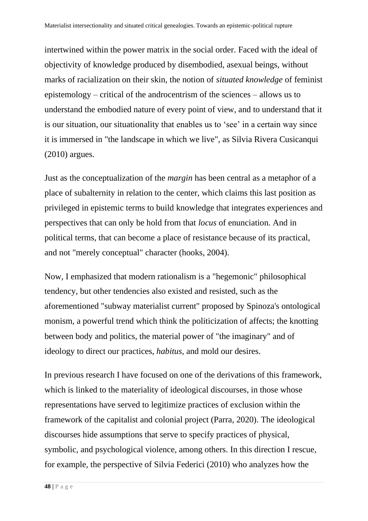intertwined within the power matrix in the social order. Faced with the ideal of objectivity of knowledge produced by disembodied, asexual beings, without marks of racialization on their skin, the notion of *situated knowledge* of feminist epistemology – critical of the androcentrism of the sciences – allows us to understand the embodied nature of every point of view, and to understand that it is our situation, our situationality that enables us to 'see' in a certain way since it is immersed in "the landscape in which we live", as Silvia Rivera Cusicanqui (2010) argues.

Just as the conceptualization of the *margin* has been central as a metaphor of a place of subalternity in relation to the center, which claims this last position as privileged in epistemic terms to build knowledge that integrates experiences and perspectives that can only be hold from that *locus* of enunciation. And in political terms, that can become a place of resistance because of its practical, and not "merely conceptual" character (hooks, 2004).

Now, I emphasized that modern rationalism is a "hegemonic" philosophical tendency, but other tendencies also existed and resisted, such as the aforementioned "subway materialist current" proposed by Spinoza's ontological monism, a powerful trend which think the politicization of affects; the knotting between body and politics, the material power of "the imaginary" and of ideology to direct our practices, *habitus*, and mold our desires.

In previous research I have focused on one of the derivations of this framework, which is linked to the materiality of ideological discourses, in those whose representations have served to legitimize practices of exclusion within the framework of the capitalist and colonial project (Parra, 2020). The ideological discourses hide assumptions that serve to specify practices of physical, symbolic, and psychological violence, among others. In this direction I rescue, for example, the perspective of Silvia Federici (2010) who analyzes how the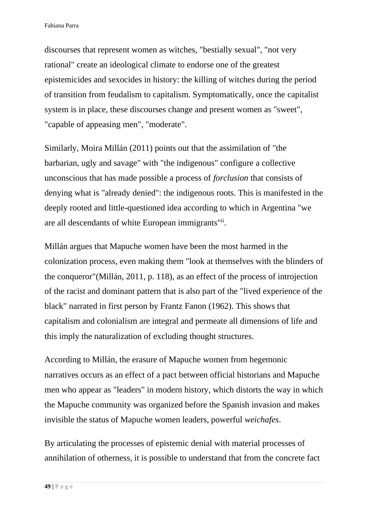discourses that represent women as witches, "bestially sexual", "not very rational" create an ideological climate to endorse one of the greatest epistemicides and sexocides in history: the killing of witches during the period of transition from feudalism to capitalism. Symptomatically, once the capitalist system is in place, these discourses change and present women as "sweet", "capable of appeasing men", "moderate".

Similarly, Moira Millán (2011) points out that the assimilation of "the barbarian, ugly and savage" with "the indigenous" configure a collective unconscious that has made possible a process of *forclusion* that consists of denying what is "already denied": the indigenous roots. This is manifested in the deeply rooted and little-questioned idea according to which in Argentina "we are all descendants of white European immigrants"ii.

Millán argues that Mapuche women have been the most harmed in the colonization process, even making them "look at themselves with the blinders of the conqueror"(Millán, 2011, p. 118), as an effect of the process of introjection of the racist and dominant pattern that is also part of the "lived experience of the black" narrated in first person by Frantz Fanon (1962). This shows that capitalism and colonialism are integral and permeate all dimensions of life and this imply the naturalization of excluding thought structures.

According to Millán, the erasure of Mapuche women from hegemonic narratives occurs as an effect of a pact between official historians and Mapuche men who appear as "leaders" in modern history, which distorts the way in which the Mapuche community was organized before the Spanish invasion and makes invisible the status of Mapuche women leaders, powerful *weichafes*.

By articulating the processes of epistemic denial with material processes of annihilation of otherness, it is possible to understand that from the concrete fact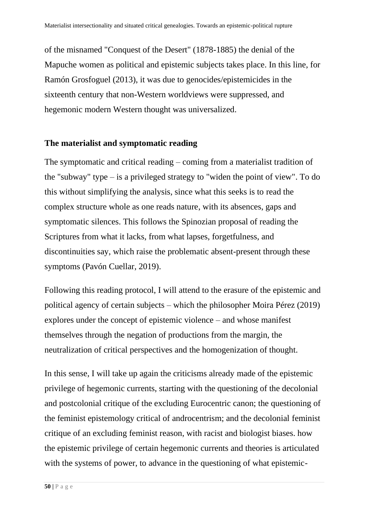of the misnamed "Conquest of the Desert" (1878-1885) the denial of the Mapuche women as political and epistemic subjects takes place. In this line, for Ramón Grosfoguel (2013), it was due to genocides/epistemicides in the sixteenth century that non-Western worldviews were suppressed, and hegemonic modern Western thought was universalized.

### **The materialist and symptomatic reading**

The symptomatic and critical reading – coming from a materialist tradition of the "subway" type – is a privileged strategy to "widen the point of view". To do this without simplifying the analysis, since what this seeks is to read the complex structure whole as one reads nature, with its absences, gaps and symptomatic silences. This follows the Spinozian proposal of reading the Scriptures from what it lacks, from what lapses, forgetfulness, and discontinuities say, which raise the problematic absent-present through these symptoms (Pavón Cuellar, 2019).

Following this reading protocol, I will attend to the erasure of the epistemic and political agency of certain subjects – which the philosopher Moira Pérez (2019) explores under the concept of epistemic violence – and whose manifest themselves through the negation of productions from the margin, the neutralization of critical perspectives and the homogenization of thought.

In this sense, I will take up again the criticisms already made of the epistemic privilege of hegemonic currents, starting with the questioning of the decolonial and postcolonial critique of the excluding Eurocentric canon; the questioning of the feminist epistemology critical of androcentrism; and the decolonial feminist critique of an excluding feminist reason, with racist and biologist biases. how the epistemic privilege of certain hegemonic currents and theories is articulated with the systems of power, to advance in the questioning of what epistemic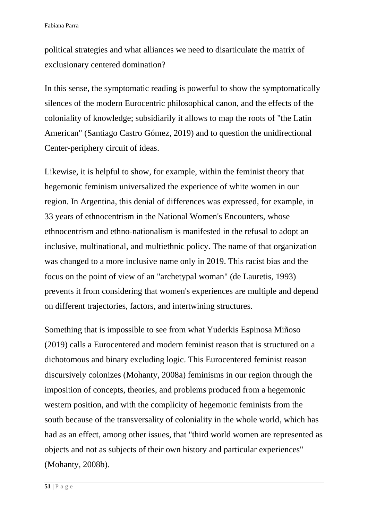political strategies and what alliances we need to disarticulate the matrix of exclusionary centered domination?

In this sense, the symptomatic reading is powerful to show the symptomatically silences of the modern Eurocentric philosophical canon, and the effects of the coloniality of knowledge; subsidiarily it allows to map the roots of "the Latin American" (Santiago Castro Gómez, 2019) and to question the unidirectional Center-periphery circuit of ideas.

Likewise, it is helpful to show, for example, within the feminist theory that hegemonic feminism universalized the experience of white women in our region. In Argentina, this denial of differences was expressed, for example, in 33 years of ethnocentrism in the National Women's Encounters, whose ethnocentrism and ethno-nationalism is manifested in the refusal to adopt an inclusive, multinational, and multiethnic policy. The name of that organization was changed to a more inclusive name only in 2019. This racist bias and the focus on the point of view of an "archetypal woman" (de Lauretis, 1993) prevents it from considering that women's experiences are multiple and depend on different trajectories, factors, and intertwining structures.

Something that is impossible to see from what Yuderkis Espinosa Miñoso (2019) calls a Eurocentered and modern feminist reason that is structured on a dichotomous and binary excluding logic. This Eurocentered feminist reason discursively colonizes (Mohanty, 2008a) feminisms in our region through the imposition of concepts, theories, and problems produced from a hegemonic western position, and with the complicity of hegemonic feminists from the south because of the transversality of coloniality in the whole world, which has had as an effect, among other issues, that "third world women are represented as objects and not as subjects of their own history and particular experiences" (Mohanty, 2008b).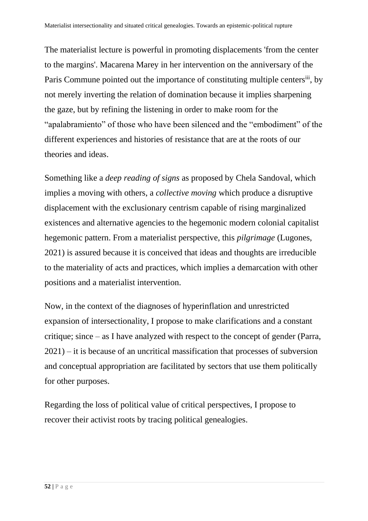The materialist lecture is powerful in promoting displacements 'from the center to the margins'. Macarena Marey in her intervention on the anniversary of the Paris Commune pointed out the importance of constituting multiple centers<sup>iii</sup>, by not merely inverting the relation of domination because it implies sharpening the gaze, but by refining the listening in order to make room for the "apalabramiento" of those who have been silenced and the "embodiment" of the different experiences and histories of resistance that are at the roots of our theories and ideas.

Something like a *deep reading of signs* as proposed by Chela Sandoval, which implies a moving with others, a *collective moving* which produce a disruptive displacement with the exclusionary centrism capable of rising marginalized existences and alternative agencies to the hegemonic modern colonial capitalist hegemonic pattern. From a materialist perspective, this *pilgrimage* (Lugones, 2021) is assured because it is conceived that ideas and thoughts are irreducible to the materiality of acts and practices, which implies a demarcation with other positions and a materialist intervention.

Now, in the context of the diagnoses of hyperinflation and unrestricted expansion of intersectionality, I propose to make clarifications and a constant critique; since – as I have analyzed with respect to the concept of gender (Parra, 2021) – it is because of an uncritical massification that processes of subversion and conceptual appropriation are facilitated by sectors that use them politically for other purposes.

Regarding the loss of political value of critical perspectives, I propose to recover their activist roots by tracing political genealogies.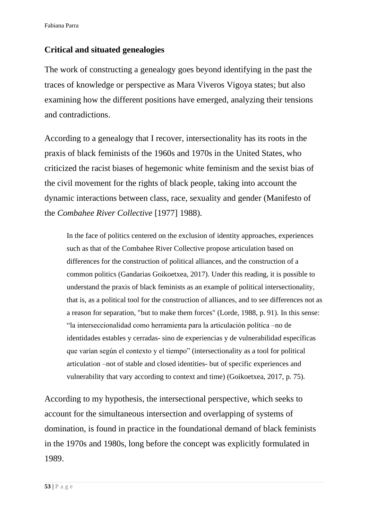# **Critical and situated genealogies**

The work of constructing a genealogy goes beyond identifying in the past the traces of knowledge or perspective as Mara Viveros Vigoya states; but also examining how the different positions have emerged, analyzing their tensions and contradictions.

According to a genealogy that I recover, intersectionality has its roots in the praxis of black feminists of the 1960s and 1970s in the United States, who criticized the racist biases of hegemonic white feminism and the sexist bias of the civil movement for the rights of black people, taking into account the dynamic interactions between class, race, sexuality and gender (Manifesto of the *Combahee River Collective* [1977] 1988).

In the face of politics centered on the exclusion of identity approaches, experiences such as that of the Combahee River Collective propose articulation based on differences for the construction of political alliances, and the construction of a common politics (Gandarias Goikoetxea, 2017). Under this reading, it is possible to understand the praxis of black feminists as an example of political intersectionality, that is, as a political tool for the construction of alliances, and to see differences not as a reason for separation, "but to make them forces" (Lorde, 1988, p. 91). In this sense: "la interseccionalidad como herramienta para la articulación política –no de identidades estables y cerradas- sino de experiencias y de vulnerabilidad específicas que varían según el contexto y el tiempo" (intersectionality as a tool for political articulation –not of stable and closed identities- but of specific experiences and vulnerability that vary according to context and time) (Goikoetxea, 2017, p. 75).

According to my hypothesis, the intersectional perspective, which seeks to account for the simultaneous intersection and overlapping of systems of domination, is found in practice in the foundational demand of black feminists in the 1970s and 1980s, long before the concept was explicitly formulated in 1989.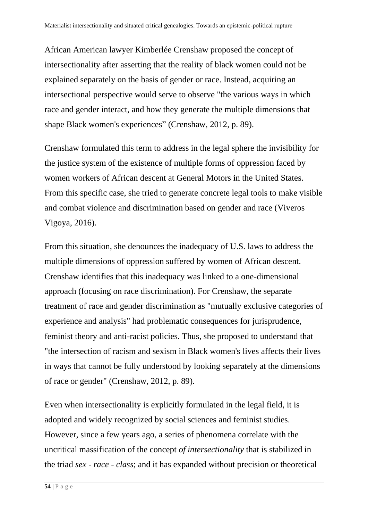African American lawyer Kimberlée Crenshaw proposed the concept of intersectionality after asserting that the reality of black women could not be explained separately on the basis of gender or race. Instead, acquiring an intersectional perspective would serve to observe "the various ways in which race and gender interact, and how they generate the multiple dimensions that shape Black women's experiences" (Crenshaw, 2012, p. 89).

Crenshaw formulated this term to address in the legal sphere the invisibility for the justice system of the existence of multiple forms of oppression faced by women workers of African descent at General Motors in the United States. From this specific case, she tried to generate concrete legal tools to make visible and combat violence and discrimination based on gender and race (Viveros Vigoya, 2016).

From this situation, she denounces the inadequacy of U.S. laws to address the multiple dimensions of oppression suffered by women of African descent. Crenshaw identifies that this inadequacy was linked to a one-dimensional approach (focusing on race discrimination). For Crenshaw, the separate treatment of race and gender discrimination as "mutually exclusive categories of experience and analysis" had problematic consequences for jurisprudence, feminist theory and anti-racist policies. Thus, she proposed to understand that "the intersection of racism and sexism in Black women's lives affects their lives in ways that cannot be fully understood by looking separately at the dimensions of race or gender" (Crenshaw, 2012, p. 89).

Even when intersectionality is explicitly formulated in the legal field, it is adopted and widely recognized by social sciences and feminist studies. However, since a few years ago, a series of phenomena correlate with the uncritical massification of the concept *of intersectionality* that is stabilized in the triad *sex - race - class*; and it has expanded without precision or theoretical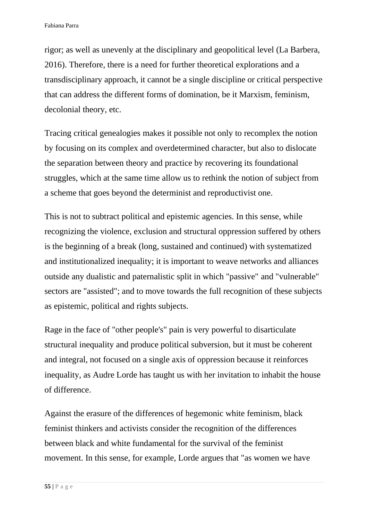rigor; as well as unevenly at the disciplinary and geopolitical level (La Barbera, 2016). Therefore, there is a need for further theoretical explorations and a transdisciplinary approach, it cannot be a single discipline or critical perspective that can address the different forms of domination, be it Marxism, feminism, decolonial theory, etc.

Tracing critical genealogies makes it possible not only to recomplex the notion by focusing on its complex and overdetermined character, but also to dislocate the separation between theory and practice by recovering its foundational struggles, which at the same time allow us to rethink the notion of subject from a scheme that goes beyond the determinist and reproductivist one.

This is not to subtract political and epistemic agencies. In this sense, while recognizing the violence, exclusion and structural oppression suffered by others is the beginning of a break (long, sustained and continued) with systematized and institutionalized inequality; it is important to weave networks and alliances outside any dualistic and paternalistic split in which "passive" and "vulnerable" sectors are "assisted"; and to move towards the full recognition of these subjects as epistemic, political and rights subjects.

Rage in the face of "other people's" pain is very powerful to disarticulate structural inequality and produce political subversion, but it must be coherent and integral, not focused on a single axis of oppression because it reinforces inequality, as Audre Lorde has taught us with her invitation to inhabit the house of difference.

Against the erasure of the differences of hegemonic white feminism, black feminist thinkers and activists consider the recognition of the differences between black and white fundamental for the survival of the feminist movement. In this sense, for example, Lorde argues that "as women we have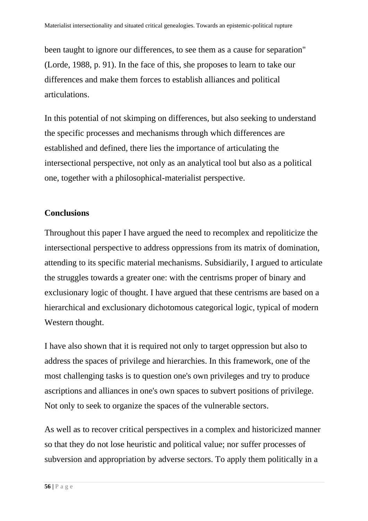been taught to ignore our differences, to see them as a cause for separation" (Lorde, 1988, p. 91). In the face of this, she proposes to learn to take our differences and make them forces to establish alliances and political articulations.

In this potential of not skimping on differences, but also seeking to understand the specific processes and mechanisms through which differences are established and defined, there lies the importance of articulating the intersectional perspective, not only as an analytical tool but also as a political one, together with a philosophical-materialist perspective.

# **Conclusions**

Throughout this paper I have argued the need to recomplex and repoliticize the intersectional perspective to address oppressions from its matrix of domination, attending to its specific material mechanisms. Subsidiarily, I argued to articulate the struggles towards a greater one: with the centrisms proper of binary and exclusionary logic of thought. I have argued that these centrisms are based on a hierarchical and exclusionary dichotomous categorical logic, typical of modern Western thought.

I have also shown that it is required not only to target oppression but also to address the spaces of privilege and hierarchies. In this framework, one of the most challenging tasks is to question one's own privileges and try to produce ascriptions and alliances in one's own spaces to subvert positions of privilege. Not only to seek to organize the spaces of the vulnerable sectors.

As well as to recover critical perspectives in a complex and historicized manner so that they do not lose heuristic and political value; nor suffer processes of subversion and appropriation by adverse sectors. To apply them politically in a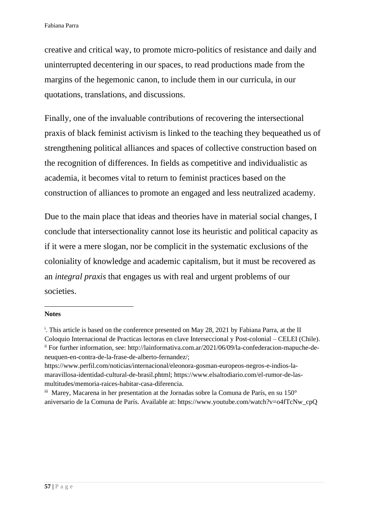creative and critical way, to promote micro-politics of resistance and daily and uninterrupted decentering in our spaces, to read productions made from the margins of the hegemonic canon, to include them in our curricula, in our quotations, translations, and discussions.

Finally, one of the invaluable contributions of recovering the intersectional praxis of black feminist activism is linked to the teaching they bequeathed us of strengthening political alliances and spaces of collective construction based on the recognition of differences. In fields as competitive and individualistic as academia, it becomes vital to return to feminist practices based on the construction of alliances to promote an engaged and less neutralized academy.

Due to the main place that ideas and theories have in material social changes, I conclude that intersectionality cannot lose its heuristic and political capacity as if it were a mere slogan, nor be complicit in the systematic exclusions of the coloniality of knowledge and academic capitalism, but it must be recovered as an *integral praxis* that engages us with real and urgent problems of our societies.

#### **Notes**

<sup>&</sup>lt;sup>i</sup>. This article is based on the conference presented on May 28, 2021 by Fabiana Parra, at the II Coloquio Internacional de Practicas lectoras en clave Interseccional y Post-colonial – CELEI (Chile). ii For further information, see: http://lainformativa.com.ar/2021/06/09/la-confederacion-mapuche-deneuquen-en-contra-de-la-frase-de-alberto-fernandez/;

https://www.perfil.com/noticias/internacional/eleonora-gosman-europeos-negros-e-indios-lamaravillosa-identidad-cultural-de-brasil.phtml; https://www.elsaltodiario.com/el-rumor-de-lasmultitudes/memoria-raices-habitar-casa-diferencia.

iii Marey, Macarena in her presentation at the Jornadas sobre la Comuna de París, en su 150° aniversario de la Comuna de París. Available at: https://www.youtube.com/watch?v=o4fTcNw\_cpQ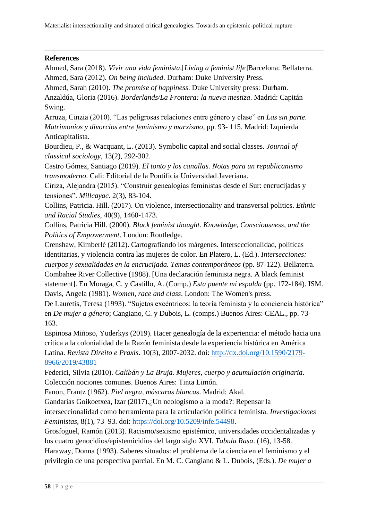#### **References**

Ahmed, Sara (2018). *Vivir una vida feminista*.[*Living a feminist life*]Barcelona: Bellaterra. Ahmed, Sara (2012). *On being included*. Durham: Duke University Press.

Ahmed, Sarah (2010). *The promise of happiness*. Duke University press: Durham.

Anzaldúa, Gloria (2016). *Borderlands/La Frontera: la nueva mestiza*. Madrid: Capitán Swing.

Arruza, Cinzia (2010). "Las peligrosas relaciones entre género y clase" en *Las sin parte. Matrimonios y divorcios entre feminismo y marxismo*, pp. 93- 115. Madrid: Izquierda Anticapitalista.

Bourdieu, P., & Wacquant, L. (2013). Symbolic capital and social classes. *Journal of classical sociology*, 13(2), 292-302.

Castro Gómez, Santiago (2019). *El tonto y los canallas. Notas para un republicanismo transmoderno*. Cali: Editorial de la Pontificia Universidad Javeriana.

Ciriza, Alejandra (2015). "Construir genealogías feministas desde el Sur: encrucijadas y tensiones". *Millcayac*. 2(3), 83-104.

Collins, Patricia. Hill. (2017). On violence, intersectionality and transversal politics. *Ethnic and Racial Studies*, 40(9), 1460-1473.

Collins, Patricia Hill. (2000). *Black feminist thought. Knowledge, Consciousness, and the Politics of Empowerment*. London: Routledge.

Crenshaw, Kimberlé (2012). Cartografiando los márgenes. Interseccionalidad, políticas identitarias, y violencia contra las mujeres de color. En Platero, L. (Ed.). *Intersecciones: cuerpos y sexualidades en la encrucijada. Temas contemporáneos* (pp. 87-122). Bellaterra. Combahee River Collective (1988). [Una declaración feminista negra. A black feminist statement]. En Moraga, C. y Castillo, A. (Comp.) *Esta puente mi espalda* (pp. 172-184). ISM. Davis, Angela (1981). *Women, race and class*. London: The Women's press.

De Lauretis, Teresa (1993). "Sujetos excéntricos: la teoría feminista y la conciencia histórica" en *De mujer a género*; Cangiano, C. y Dubois, L. (comps.) Buenos Aires: CEAL., pp. 73- 163.

Espinosa Miñoso, Yuderkys (2019). Hacer genealogía de la experiencia: el método hacia una crítica a la colonialidad de la Razón feminista desde la experiencia histórica en América Latina. *Revista Direito e Praxis*. 10(3), 2007-2032. doi: [http://dx.doi.org/10.1590/2179-](http://dx.doi.org/10.1590/2179-8966/2019/43881) [8966/2019/43881](http://dx.doi.org/10.1590/2179-8966/2019/43881)

Federici, Silvia (2010). *Calibán y La Bruja. Mujeres, cuerpo y acumulación originaria*. Colección nociones comunes. Buenos Aires: Tinta Limón.

Fanon, Frantz (1962). *Piel negra, máscaras blancas*. Madrid: Akal.

Gandarias Goikoetxea, Izar (2017).¿Un neologismo a la moda?: Repensar la

interseccionalidad como herramienta para la articulación política feminista. *Investigaciones Feministas*, 8(1), 73–93. doi: [https://doi.org/10.5209/infe.54498.](https://doi.org/10.5209/infe.54498)

Grosfoguel, Ramón (2013). Racismo/sexismo epistémico, universidades occidentalizadas y los cuatro genocidios/epistemicidios del largo siglo XVI. *Tabula Rasa*. (16), 13-58.

Haraway, Donna (1993). Saberes situados: el problema de la ciencia en el feminismo y el privilegio de una perspectiva parcial. En M. C. Cangiano & L. Dubois, (Eds.). *De mujer a*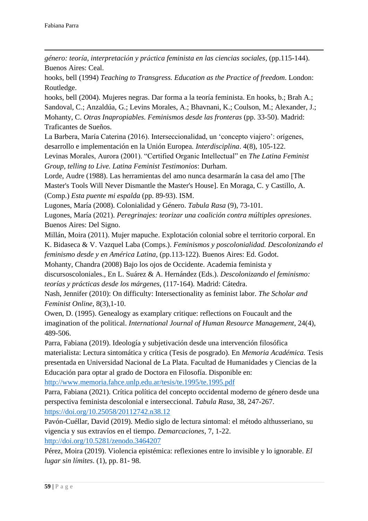*género: teoría, interpretación y práctica feminista en las ciencias sociales*, (pp.115-144). Buenos Aires: Ceal.

hooks, bell (1994) *Teaching to Transgress. Education as the Practice of freedom*. London: Routledge.

hooks, bell (2004). Mujeres negras. Dar forma a la teoría feminista. En hooks, b.; Brah A.; Sandoval, C.; Anzaldúa, G.; Levins Morales, A.; Bhavnani, K.; Coulson, M.; Alexander, J.; Mohanty, C. *Otras Inapropiables. Feminismos desde las fronteras* (pp. 33-50). Madrid: Traficantes de Sueños.

La Barbera, María Caterina (2016). Interseccionalidad, un 'concepto viajero': orígenes, desarrollo e implementación en la Unión Europea. *Interdisciplina*. 4(8), 105-122.

Levinas Morales, Aurora (2001). "Certified Organic Intellectual" en *The Latina Feminist Group, telling to Live. Latina Feminist Testimonios*: Durham.

Lorde, Audre (1988). Las herramientas del amo nunca desarmarán la casa del amo [The Master's Tools Will Never Dismantle the Master's House]. En Moraga, C. y Castillo, A. (Comp.) *Esta puente mi espalda* (pp. 89-93). ISM.

Lugones, María (2008). Colonialidad y Género. *Tabula Rasa* (9), 73-101.

Lugones, María (2021). *Peregrinajes: teorizar una coalición contra múltiples opresiones*. Buenos Aires: Del Signo.

Millán, Moira (2011). Mujer mapuche. Explotación colonial sobre el territorio corporal. En K. Bidaseca & V. Vazquel Laba (Comps.). *Feminismos y poscolonialidad. Descolonizando el feminismo desde y en América Latina,* (pp.113-122). Buenos Aires: Ed. Godot.

Mohanty, Chandra (2008) Bajo los ojos de Occidente. Academia feminista y

discursoscoloniales., En L. Suárez & A. Hernández (Eds.). *Descolonizando el feminismo: teorías y prácticas desde los márgenes*, (117-164). Madrid: Cátedra.

Nash, Jennifer (2010): On difficulty: Intersectionality as feminist labor. *The Scholar and Feminist Online*, 8(3),1-10.

Owen, D. (1995). Genealogy as examplary critique: reflections on Foucault and the imagination of the political. *International Journal of Human Resource Management*, 24(4), 489-506.

Parra, Fabiana (2019). Ideología y subjetivación desde una intervención filosófica materialista: Lectura sintomática y crítica (Tesis de posgrado). En *Memoria Académica.* Tesis presentada en Universidad Nacional de La Plata. Facultad de Humanidades y Ciencias de la Educación para optar al grado de Doctora en Filosofía. Disponible en:

<http://www.memoria.fahce.unlp.edu.ar/tesis/te.1995/te.1995.pdf>

Parra, Fabiana (2021). Crítica política del concepto occidental moderno de género desde una perspectiva feminista descolonial e interseccional. *Tabula Rasa*, 38, 247-267.

<https://doi.org/10.25058/20112742.n38.12>

Pavón-Cuéllar, David (2019). Medio siglo de lectura sintomal: el método althusseriano, su vigencia y sus extravíos en el tiempo. *Demarcaciones*, 7, 1-22. <http://doi.org/10.5281/zenodo.3464207>

Pérez, Moira (2019). Violencia epistémica: reflexiones entre lo invisible y lo ignorable. *El lugar sin límites*. (1), pp. 81- 98.